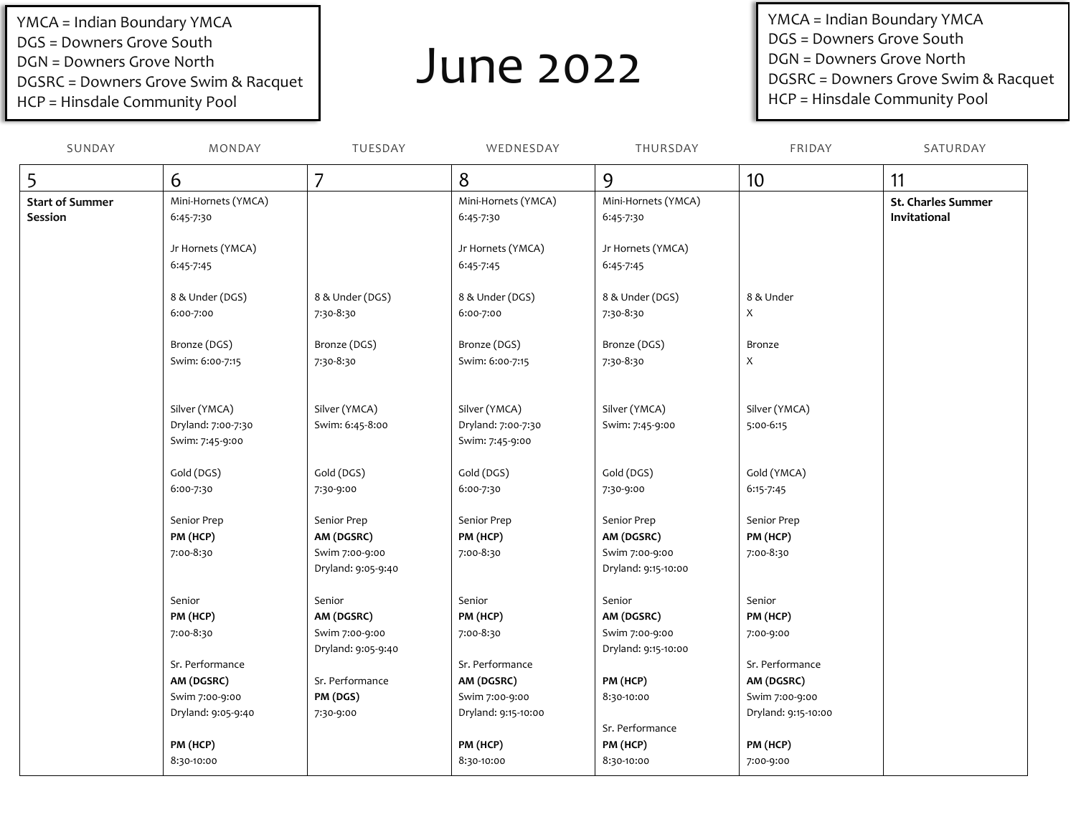YMCA = Indian Boundary YMCA DGS = Downers Grove South DGN = Downers Grove North DGSRC = Downers Grove Swim & Racquet HCP = Hinsdale Community Pool

## June 2022

YMCA = Indian Boundary YMCA DGS = Downers Grove South DGN = Downers Grove North DGSRC = Downers Grove Swim & Racquet HCP = Hinsdale Community Pool

| SUNDAY                 | MONDAY              | TUESDAY            | WEDNESDAY           | THURSDAY            | FRIDAY              | SATURDAY                  |
|------------------------|---------------------|--------------------|---------------------|---------------------|---------------------|---------------------------|
| 5                      | 6                   | 7                  | 8                   | 9                   | 10                  | 11                        |
| <b>Start of Summer</b> | Mini-Hornets (YMCA) |                    | Mini-Hornets (YMCA) | Mini-Hornets (YMCA) |                     | <b>St. Charles Summer</b> |
| Session                | 6:45-7:30           |                    | 6:45-7:30           | 6:45-7:30           |                     | Invitational              |
|                        |                     |                    |                     |                     |                     |                           |
|                        | Jr Hornets (YMCA)   |                    | Jr Hornets (YMCA)   | Jr Hornets (YMCA)   |                     |                           |
|                        | 6:45-7:45           |                    | 6:45-7:45           | 6:45-7:45           |                     |                           |
|                        | 8 & Under (DGS)     | 8 & Under (DGS)    | 8 & Under (DGS)     | 8 & Under (DGS)     | 8 & Under           |                           |
|                        | 6:00-7:00           | 7:30-8:30          | 6:00-7:00           | 7:30-8:30           | X                   |                           |
|                        | Bronze (DGS)        | Bronze (DGS)       | Bronze (DGS)        | Bronze (DGS)        | Bronze              |                           |
|                        | Swim: 6:00-7:15     | 7:30-8:30          | Swim: 6:00-7:15     | 7:30-8:30           | X                   |                           |
|                        |                     |                    |                     |                     |                     |                           |
|                        | Silver (YMCA)       | Silver (YMCA)      | Silver (YMCA)       | Silver (YMCA)       | Silver (YMCA)       |                           |
|                        | Dryland: 7:00-7:30  | Swim: 6:45-8:00    | Dryland: 7:00-7:30  | Swim: 7:45-9:00     | 5:00-6:15           |                           |
|                        | Swim: 7:45-9:00     |                    | Swim: 7:45-9:00     |                     |                     |                           |
|                        | Gold (DGS)          | Gold (DGS)         | Gold (DGS)          | Gold (DGS)          | Gold (YMCA)         |                           |
|                        | 6:00-7:30           | 7:30-9:00          | 6:00-7:30           | 7:30-9:00           | 6:15-7:45           |                           |
|                        |                     |                    |                     |                     |                     |                           |
|                        | Senior Prep         | Senior Prep        | Senior Prep         | Senior Prep         | Senior Prep         |                           |
|                        | PM (HCP)            | AM (DGSRC)         | PM (HCP)            | AM (DGSRC)          | PM (HCP)            |                           |
|                        | 7:00-8:30           | Swim 7:00-9:00     | 7:00-8:30           | Swim 7:00-9:00      | 7:00-8:30           |                           |
|                        |                     | Dryland: 9:05-9:40 |                     | Dryland: 9:15-10:00 |                     |                           |
|                        | Senior              | Senior             | Senior              | Senior              | Senior              |                           |
|                        | PM (HCP)            | AM (DGSRC)         | PM (HCP)            | AM (DGSRC)          | PM (HCP)            |                           |
|                        | 7:00-8:30           | Swim 7:00-9:00     | 7:00-8:30           | Swim 7:00-9:00      | 7:00-9:00           |                           |
|                        |                     | Dryland: 9:05-9:40 |                     | Dryland: 9:15-10:00 |                     |                           |
|                        | Sr. Performance     |                    | Sr. Performance     |                     | Sr. Performance     |                           |
|                        | AM (DGSRC)          | Sr. Performance    | AM (DGSRC)          | PM (HCP)            | AM (DGSRC)          |                           |
|                        | Swim 7:00-9:00      | PM (DGS)           | Swim 7:00-9:00      | 8:30-10:00          | Swim 7:00-9:00      |                           |
|                        | Dryland: 9:05-9:40  | 7:30-9:00          | Dryland: 9:15-10:00 |                     | Dryland: 9:15-10:00 |                           |
|                        |                     |                    |                     | Sr. Performance     |                     |                           |
|                        | PM (HCP)            |                    | PM (HCP)            | PM (HCP)            | PM (HCP)            |                           |
|                        | 8:30-10:00          |                    | 8:30-10:00          | 8:30-10:00          | 7:00-9:00           |                           |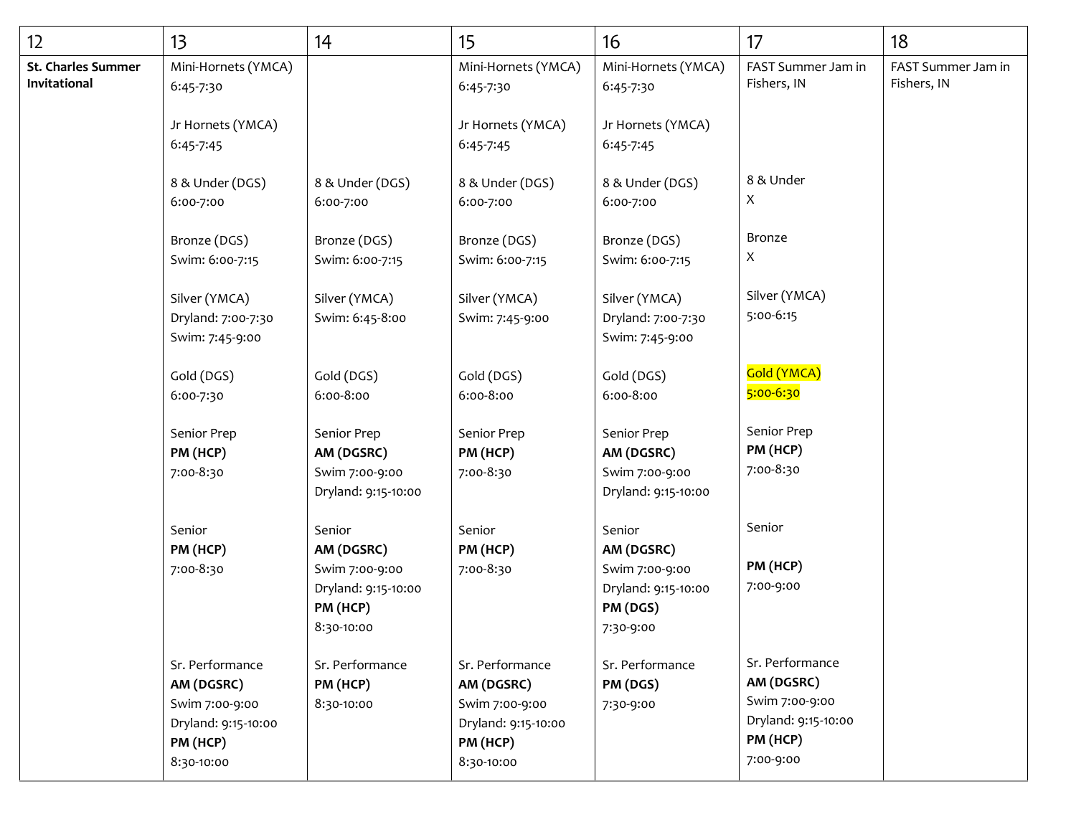| 12                                 | 13                                                                                               | 14                                                                                      | 15                                                                                               | 16                                                                                     | 17                                                                                              | 18                                |
|------------------------------------|--------------------------------------------------------------------------------------------------|-----------------------------------------------------------------------------------------|--------------------------------------------------------------------------------------------------|----------------------------------------------------------------------------------------|-------------------------------------------------------------------------------------------------|-----------------------------------|
| St. Charles Summer<br>Invitational | Mini-Hornets (YMCA)<br>6:45-7:30                                                                 |                                                                                         | Mini-Hornets (YMCA)<br>6:45-7:30                                                                 | Mini-Hornets (YMCA)<br>6:45-7:30                                                       | FAST Summer Jam in<br>Fishers, IN                                                               | FAST Summer Jam in<br>Fishers, IN |
|                                    | Jr Hornets (YMCA)<br>6:45-7:45                                                                   |                                                                                         | Jr Hornets (YMCA)<br>6:45-7:45                                                                   | Jr Hornets (YMCA)<br>6:45-7:45                                                         |                                                                                                 |                                   |
|                                    | 8 & Under (DGS)<br>6:00-7:00                                                                     | 8 & Under (DGS)<br>6:00-7:00                                                            | 8 & Under (DGS)<br>6:00-7:00                                                                     | 8 & Under (DGS)<br>6:00-7:00                                                           | 8 & Under<br>X                                                                                  |                                   |
|                                    | Bronze (DGS)<br>Swim: 6:00-7:15                                                                  | Bronze (DGS)<br>Swim: 6:00-7:15                                                         | Bronze (DGS)<br>Swim: 6:00-7:15                                                                  | Bronze (DGS)<br>Swim: 6:00-7:15                                                        | Bronze<br>X                                                                                     |                                   |
|                                    | Silver (YMCA)<br>Dryland: 7:00-7:30<br>Swim: 7:45-9:00                                           | Silver (YMCA)<br>Swim: 6:45-8:00                                                        | Silver (YMCA)<br>Swim: 7:45-9:00                                                                 | Silver (YMCA)<br>Dryland: 7:00-7:30<br>Swim: 7:45-9:00                                 | Silver (YMCA)<br>5:00-6:15                                                                      |                                   |
|                                    | Gold (DGS)<br>6:00-7:30                                                                          | Gold (DGS)<br>6:00-8:00                                                                 | Gold (DGS)<br>6:00-8:00                                                                          | Gold (DGS)<br>6:00-8:00                                                                | Gold (YMCA)<br>5:00-6:30                                                                        |                                   |
|                                    | Senior Prep<br>PM (HCP)<br>7:00-8:30                                                             | Senior Prep<br>AM (DGSRC)<br>Swim 7:00-9:00<br>Dryland: 9:15-10:00                      | Senior Prep<br>PM (HCP)<br>7:00-8:30                                                             | Senior Prep<br>AM (DGSRC)<br>Swim 7:00-9:00<br>Dryland: 9:15-10:00                     | Senior Prep<br>PM (HCP)<br>7:00-8:30                                                            |                                   |
|                                    | Senior<br>PM (HCP)<br>7:00-8:30                                                                  | Senior<br>AM (DGSRC)<br>Swim 7:00-9:00<br>Dryland: 9:15-10:00<br>PM (HCP)<br>8:30-10:00 | Senior<br>PM (HCP)<br>7:00-8:30                                                                  | Senior<br>AM (DGSRC)<br>Swim 7:00-9:00<br>Dryland: 9:15-10:00<br>PM (DGS)<br>7:30-9:00 | Senior<br>PM (HCP)<br>7:00-9:00                                                                 |                                   |
|                                    | Sr. Performance<br>AM (DGSRC)<br>Swim 7:00-9:00<br>Dryland: 9:15-10:00<br>PM (HCP)<br>8:30-10:00 | Sr. Performance<br>PM (HCP)<br>8:30-10:00                                               | Sr. Performance<br>AM (DGSRC)<br>Swim 7:00-9:00<br>Dryland: 9:15-10:00<br>PM (HCP)<br>8:30-10:00 | Sr. Performance<br>PM (DGS)<br>7:30-9:00                                               | Sr. Performance<br>AM (DGSRC)<br>Swim 7:00-9:00<br>Dryland: 9:15-10:00<br>PM (HCP)<br>7:00-9:00 |                                   |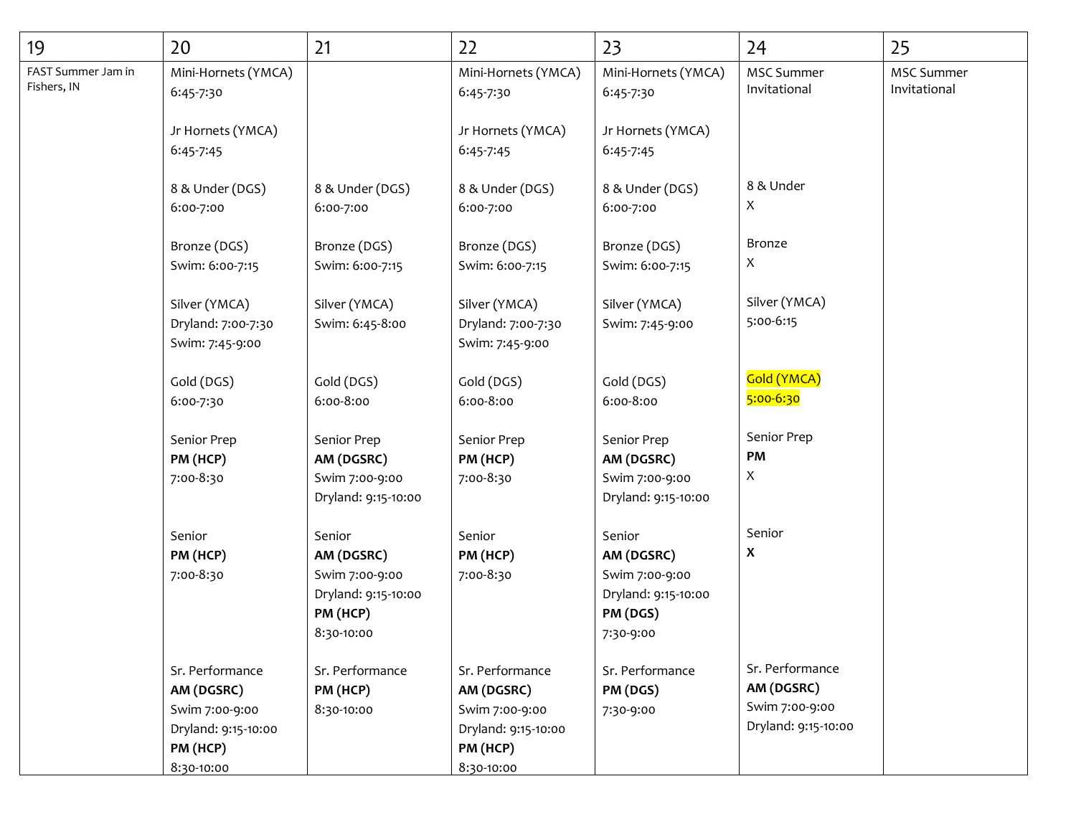| 19                                | 20                                                                                               | 21                                                                                      | 22                                                                                               | 23                                                                                     | 24                                                                     | 25                                |
|-----------------------------------|--------------------------------------------------------------------------------------------------|-----------------------------------------------------------------------------------------|--------------------------------------------------------------------------------------------------|----------------------------------------------------------------------------------------|------------------------------------------------------------------------|-----------------------------------|
| FAST Summer Jam in<br>Fishers, IN | Mini-Hornets (YMCA)<br>6:45-7:30                                                                 |                                                                                         | Mini-Hornets (YMCA)<br>6:45-7:30                                                                 | Mini-Hornets (YMCA)<br>6:45-7:30                                                       | <b>MSC Summer</b><br>Invitational                                      | <b>MSC Summer</b><br>Invitational |
|                                   | Jr Hornets (YMCA)<br>6:45-7:45                                                                   |                                                                                         | Jr Hornets (YMCA)<br>6:45-7:45                                                                   | Jr Hornets (YMCA)<br>6:45-7:45                                                         |                                                                        |                                   |
|                                   | 8 & Under (DGS)<br>6:00-7:00                                                                     | 8 & Under (DGS)<br>6:00-7:00                                                            | 8 & Under (DGS)<br>6:00-7:00                                                                     | 8 & Under (DGS)<br>6:00-7:00                                                           | 8 & Under<br>X                                                         |                                   |
|                                   | Bronze (DGS)<br>Swim: 6:00-7:15                                                                  | Bronze (DGS)<br>Swim: 6:00-7:15                                                         | Bronze (DGS)<br>Swim: 6:00-7:15                                                                  | Bronze (DGS)<br>Swim: 6:00-7:15                                                        | Bronze<br>X                                                            |                                   |
|                                   | Silver (YMCA)<br>Dryland: 7:00-7:30<br>Swim: 7:45-9:00                                           | Silver (YMCA)<br>Swim: 6:45-8:00                                                        | Silver (YMCA)<br>Dryland: 7:00-7:30<br>Swim: 7:45-9:00                                           | Silver (YMCA)<br>Swim: 7:45-9:00                                                       | Silver (YMCA)<br>5:00-6:15                                             |                                   |
|                                   | Gold (DGS)<br>6:00-7:30                                                                          | Gold (DGS)<br>6:00-8:00                                                                 | Gold (DGS)<br>6:00-8:00                                                                          | Gold (DGS)<br>6:00-8:00                                                                | Gold (YMCA)<br>5:00-6:30                                               |                                   |
|                                   | Senior Prep<br>PM (HCP)<br>7:00-8:30                                                             | Senior Prep<br>AM (DGSRC)<br>Swim 7:00-9:00<br>Dryland: 9:15-10:00                      | Senior Prep<br>PM (HCP)<br>7:00-8:30                                                             | Senior Prep<br>AM (DGSRC)<br>Swim 7:00-9:00<br>Dryland: 9:15-10:00                     | Senior Prep<br>PM<br>X                                                 |                                   |
|                                   | Senior<br>PM (HCP)<br>7:00-8:30                                                                  | Senior<br>AM (DGSRC)<br>Swim 7:00-9:00<br>Dryland: 9:15-10:00<br>PM (HCP)<br>8:30-10:00 | Senior<br>PM (HCP)<br>7:00-8:30                                                                  | Senior<br>AM (DGSRC)<br>Swim 7:00-9:00<br>Dryland: 9:15-10:00<br>PM (DGS)<br>7:30-9:00 | Senior<br>X                                                            |                                   |
|                                   | Sr. Performance<br>AM (DGSRC)<br>Swim 7:00-9:00<br>Dryland: 9:15-10:00<br>PM (HCP)<br>8:30-10:00 | Sr. Performance<br>PM (HCP)<br>8:30-10:00                                               | Sr. Performance<br>AM (DGSRC)<br>Swim 7:00-9:00<br>Dryland: 9:15-10:00<br>PM (HCP)<br>8:30-10:00 | Sr. Performance<br>PM (DGS)<br>7:30-9:00                                               | Sr. Performance<br>AM (DGSRC)<br>Swim 7:00-9:00<br>Dryland: 9:15-10:00 |                                   |